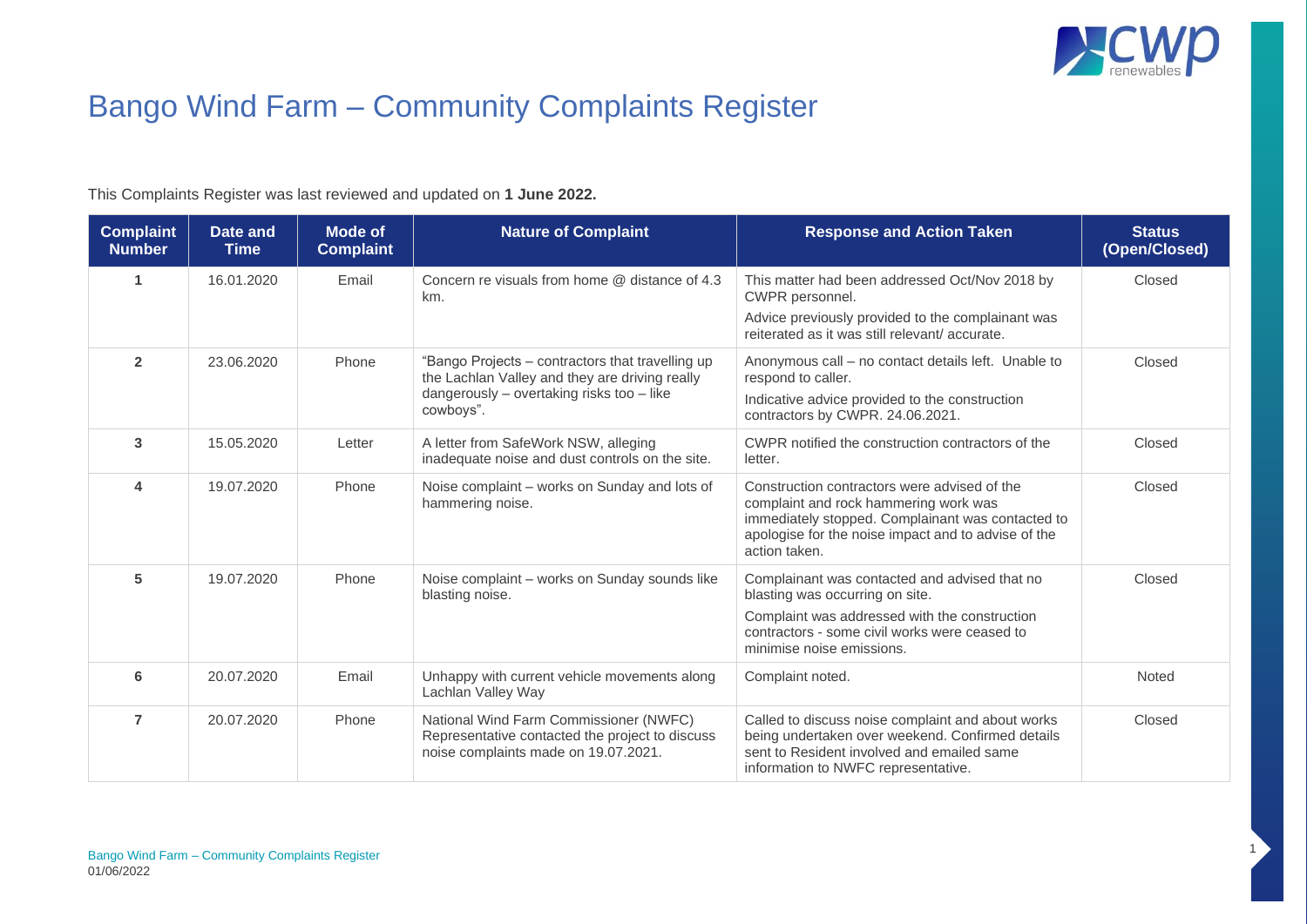

1

## Bango Wind Farm – Community Complaints Register

This Complaints Register was last reviewed and updated on **1 June 2022.**

| <b>Complaint</b><br><b>Number</b> | Date and<br><b>Time</b> | <b>Mode of</b><br><b>Complaint</b> | <b>Nature of Complaint</b>                                                                                                                                   | <b>Response and Action Taken</b>                                                                                                                                                                                   | <b>Status</b><br>(Open/Closed) |
|-----------------------------------|-------------------------|------------------------------------|--------------------------------------------------------------------------------------------------------------------------------------------------------------|--------------------------------------------------------------------------------------------------------------------------------------------------------------------------------------------------------------------|--------------------------------|
|                                   | 16.01.2020              | Email                              | Concern re visuals from home @ distance of 4.3<br>km.                                                                                                        | This matter had been addressed Oct/Nov 2018 by<br>CWPR personnel.                                                                                                                                                  | Closed                         |
|                                   |                         |                                    |                                                                                                                                                              | Advice previously provided to the complainant was<br>reiterated as it was still relevant/accurate.                                                                                                                 |                                |
| $\overline{2}$                    | 23.06.2020              | Phone                              | "Bango Projects - contractors that travelling up<br>the Lachlan Valley and they are driving really<br>dangerously - overtaking risks too - like<br>cowboys". | Anonymous call – no contact details left. Unable to<br>respond to caller.                                                                                                                                          | Closed                         |
|                                   |                         |                                    |                                                                                                                                                              | Indicative advice provided to the construction<br>contractors by CWPR. 24.06.2021.                                                                                                                                 |                                |
| 3                                 | 15.05.2020              | Letter                             | A letter from SafeWork NSW, alleging<br>inadequate noise and dust controls on the site.                                                                      | CWPR notified the construction contractors of the<br>letter.                                                                                                                                                       | Closed                         |
| 4                                 | 19.07.2020              | Phone                              | Noise complaint - works on Sunday and lots of<br>hammering noise.                                                                                            | Construction contractors were advised of the<br>complaint and rock hammering work was<br>immediately stopped. Complainant was contacted to<br>apologise for the noise impact and to advise of the<br>action taken. | Closed                         |
| 5                                 | 19.07.2020              | Phone                              | Noise complaint - works on Sunday sounds like<br>blasting noise.                                                                                             | Complainant was contacted and advised that no<br>blasting was occurring on site.<br>Complaint was addressed with the construction<br>contractors - some civil works were ceased to<br>minimise noise emissions.    | Closed                         |
| 6                                 | 20.07.2020              | Email                              | Unhappy with current vehicle movements along<br>Lachlan Valley Way                                                                                           | Complaint noted.                                                                                                                                                                                                   | Noted                          |
| $\overline{7}$                    | 20.07.2020              | Phone                              | National Wind Farm Commissioner (NWFC)<br>Representative contacted the project to discuss<br>noise complaints made on 19.07.2021.                            | Called to discuss noise complaint and about works<br>being undertaken over weekend. Confirmed details<br>sent to Resident involved and emailed same<br>information to NWFC representative.                         | Closed                         |